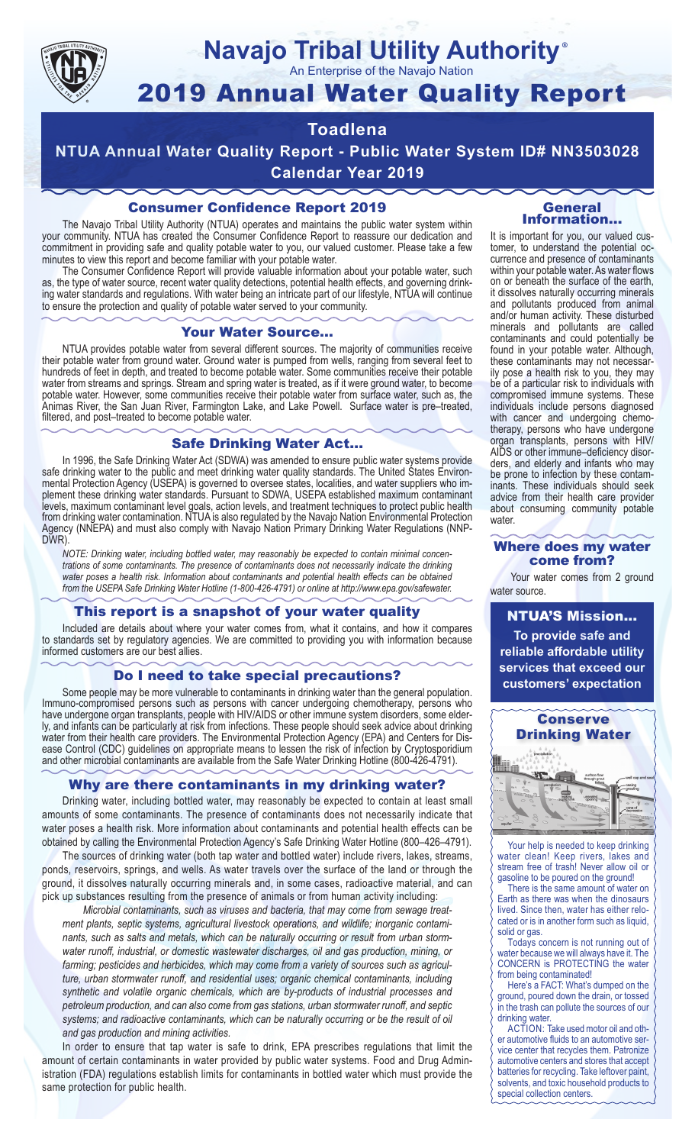

## **Navajo Tribal Utility Authority** ®

An Enterprise of the Navajo Nation

# 2019 Annual Water Quality Report

## **Toadlena**

**NTUA Annual Water Quality Report - Public Water System ID# NN3503028 Calendar Year 2019**

## Consumer Confidence Report 2019

The Navajo Tribal Utility Authority (NTUA) operates and maintains the public water system within your community. NTUA has created the Consumer Confidence Report to reassure our dedication and commitment in providing safe and quality potable water to you, our valued customer. Please take a few minutes to view this report and become familiar with your potable water.

The Consumer Confidence Report will provide valuable information about your potable water, such as, the type of water source, recent water quality detections, potential health effects, and governing drinking water standards and regulations. With water being an intricate part of our lifestyle, NTUA will continue to ensure the protection and quality of potable water served to your community.

#### Your Water Source…

NTUA provides potable water from several different sources. The majority of communities receive their potable water from ground water. Ground water is pumped from wells, ranging from several feet to hundreds of feet in depth, and treated to become potable water. Some communities receive their potable water from streams and springs. Stream and spring water is treated, as if it were ground water, to become potable water. However, some communities receive their potable water from surface water, such as, the Animas River, the San Juan River, Farmington Lake, and Lake Powell. Surface water is pre–treated, filtered, and post–treated to become potable water.

#### Safe Drinking Water Act…

In 1996, the Safe Drinking Water Act (SDWA) was amended to ensure public water systems provide safe drinking water to the public and meet drinking water quality standards. The United States Environmental Protection Agency (USEPA) is governed to oversee states, localities, and water suppliers who implement these drinking water standards. Pursuant to SDWA, USEPA established maximum contaminant levels, maximum contaminant level goals, action levels, and treatment techniques to protect public health from drinking water contamination. NTUA is also regulated by the Navajo Nation Environmental Protection Agency (NNEPA) and must also comply with Navajo Nation Primary Drinking Water Regulations (NNP-DWR)

*NOTE: Drinking water, including bottled water, may reasonably be expected to contain minimal concentrations of some contaminants. The presence of contaminants does not necessarily indicate the drinking water poses a health risk. Information about contaminants and potential health effects can be obtained from the USEPA Safe Drinking Water Hotline (1-800-426-4791) or online at http://www.epa.gov/safewater.*

## This report is a snapshot of your water quality

Included are details about where your water comes from, what it contains, and how it compares to standards set by regulatory agencies. We are committed to providing you with information because informed customers are our best allies.

#### Do I need to take special precautions?

Some people may be more vulnerable to contaminants in drinking water than the general population. Immuno-compromised persons such as persons with cancer undergoing chemotherapy, persons who have undergone organ transplants, people with HIV/AIDS or other immune system disorders, some elderly, and infants can be particularly at risk from infections. These people should seek advice about drinking water from their health care providers. The Environmental Protection Agency (EPA) and Centers for Disease Control (CDC) guidelines on appropriate means to lessen the risk of infection by Cryptosporidium and other microbial contaminants are available from the Safe Water Drinking Hotline (800-426-4791).

## Why are there contaminants in my drinking water?

Drinking water, including bottled water, may reasonably be expected to contain at least small amounts of some contaminants. The presence of contaminants does not necessarily indicate that water poses a health risk. More information about contaminants and potential health effects can be obtained by calling the Environmental Protection Agency's Safe Drinking Water Hotline (800–426–4791).

The sources of drinking water (both tap water and bottled water) include rivers, lakes, streams, ponds, reservoirs, springs, and wells. As water travels over the surface of the land or through the ground, it dissolves naturally occurring minerals and, in some cases, radioactive material, and can pick up substances resulting from the presence of animals or from human activity including:

*Microbial contaminants, such as viruses and bacteria, that may come from sewage treatment plants, septic systems, agricultural livestock operations, and wildlife; inorganic contaminants, such as salts and metals, which can be naturally occurring or result from urban stormwater runoff, industrial, or domestic wastewater discharges, oil and gas production, mining, or farming; pesticides and herbicides, which may come from a variety of sources such as agriculture, urban stormwater runoff, and residential uses; organic chemical contaminants, including synthetic and volatile organic chemicals, which are by-products of industrial processes and petroleum production, and can also come from gas stations, urban stormwater runoff, and septic systems; and radioactive contaminants, which can be naturally occurring or be the result of oil and gas production and mining activities.*

In order to ensure that tap water is safe to drink, EPA prescribes regulations that limit the amount of certain contaminants in water provided by public water systems. Food and Drug Administration (FDA) regulations establish limits for contaminants in bottled water which must provide the same protection for public health.

#### General Information…

It is important for you, our valued customer, to understand the potential occurrence and presence of contaminants within your potable water. As water flows on or beneath the surface of the earth, it dissolves naturally occurring minerals and pollutants produced from animal and/or human activity. These disturbed minerals and pollutants are called contaminants and could potentially be found in your potable water. Although, these contaminants may not necessarily pose a health risk to you, they may be of a particular risk to individuals with compromised immune systems. These individuals include persons diagnosed with cancer and undergoing chemo-<br>therapy, persons who have undergone organ transplants, persons with HIV/ AIDS or other immune–deficiency disor- ders, and elderly and infants who may be prone to infection by these contam- inants. These individuals should seek advice from their health care provider about consuming community potable water.

#### Where does my water come from?

Your water comes from 2 ground water source.

NTUA'S Mission... **To provide safe and reliable affordable utility services that exceed our customers' expectation**



Your help is needed to keep drinking water clean! Keep rivers, lakes and stream free of trash! Never allow oil or gasoline to be poured on the ground!

There is the same amount of water on Earth as there was when the dinosaurs lived. Since then, water has either relocated or is in another form such as liquid, solid or gas.

Todays concern is not running out of water because we will always have it. The CONCERN is PROTECTING the water from being contaminated!

Here's a FACT: What's dumped on the ground, poured down the drain, or tossed in the trash can pollute the sources of our drinking water.

ACTION: Take used motor oil and other automotive fluids to an automotive service center that recycles them. Patronize automotive centers and stores that accept batteries for recycling. Take leftover paint, solvents, and toxic household products to special collection centers.